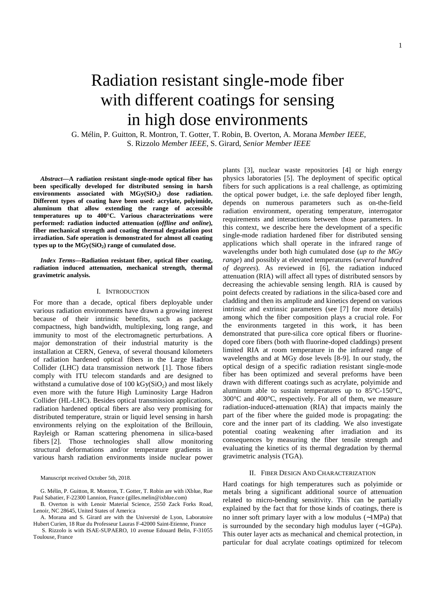# Radiation resistant single-mode fiber with different coatings for sensing in high dose environments

G. Mélin, P. Guitton, R. Montron, T. Gotter, T. Robin, B. Overton, A. Morana *Member IEEE*, S. Rizzolo *Member IEEE*, S. Girard, *Senior Member IEEE*

*Abstract***—A radiation resistant single-mode optical fiber has been specifically developed for distributed sensing in harsh environments associated with MGy(SiO<sup>2</sup> ) dose radiation. Different types of coating have been used: acrylate, polyimide, aluminum that allow extending the range of accessible temperatures up to 400°C. Various characterizations were performed: radiation inducted attenuation (***offline and online***), fiber mechanical strength and coating thermal degradation post irradiation. Safe operation is demonstrated for almost all coating types up to the MGy(SiO<sup>2</sup> ) range of cumulated dose.** 

*Index Terms***—Radiation resistant fiber, optical fiber coating, radiation induced attenuation, mechanical strength, thermal gravimetric analysis.** 

## I. INTRODUCTION

For more than a decade, optical fibers deployable under various radiation environments have drawn a growing interest because of their intrinsic benefits, such as package compactness, high bandwidth, multiplexing, long range, and immunity to most of the electromagnetic perturbations. A major demonstration of their industrial maturity is the installation at CERN, Geneva, of several thousand kilometers of radiation hardened optical fibers in the Large Hadron Collider (LHC) data transmission network [1]. Those fibers comply with ITU telecom standards and are designed to withstand a cumulative dose of  $100 \text{ kGy(SiO<sub>2</sub>)}$  and most likely even more with the future High Luminosity Large Hadron Collider (HL-LHC). Besides optical transmission applications, radiation hardened optical fibers are also very promising for distributed temperature, strain or liquid level sensing in harsh environments relying on the exploitation of the Brillouin, Rayleigh or Raman scattering phenomena in silica-based fibers [2]. Those technologies shall allow monitoring structural deformations and/or temperature gradients in various harsh radiation environments inside nuclear power

Manuscript received October 5th, 2018.

- G. Mélin, P. Guitton, R. Montron, T. Gotter, T. Robin are with iXblue, Rue Paul Sabatier, F-22300 Lannion, France (gilles.melin@ixblue.com)
- B. Overton is with Lenoir Material Science, 2550 Zack Forks Road, Lenoir, NC 28645, United States of America
- A. Morana and S. Girard are with the Université de Lyon, Laboratoire Hubert Curien, 18 Rue du Professeur Lauras F-42000 Saint-Etienne, France
- S. Rizzolo is with ISAE-SUPAERO, 10 avenue Edouard Belin, F-31055 Toulouse, France

plants [3], nuclear waste repositories [4] or high energy physics laboratories [5]. The deployment of specific optical fibers for such applications is a real challenge, as optimizing the optical power budget, i.e. the safe deployed fiber length, depends on numerous parameters such as on-the-field radiation environment, operating temperature, interrogator requirements and interactions between those parameters. In this context, we describe here the development of a specific single-mode radiation hardened fiber for distributed sensing applications which shall operate in the infrared range of wavelengths under both high cumulated dose (*up to the MGy range*) and possibly at elevated temperatures (*several hundred of degrees*). As reviewed in [6], the radiation induced attenuation (RIA) will affect all types of distributed sensors by decreasing the achievable sensing length. RIA is caused by point defects created by radiations in the silica-based core and cladding and then its amplitude and kinetics depend on various intrinsic and extrinsic parameters (see [7] for more details) among which the fiber composition plays a crucial role. For the environments targeted in this work, it has been demonstrated that pure-silica core optical fibers or fluorinedoped core fibers (both with fluorine-doped claddings) present limited RIA at room temperature in the infrared range of wavelengths and at MGy dose levels [8-9]. In our study, the optical design of a specific radiation resistant single-mode fiber has been optimized and several preforms have been drawn with different coatings such as acrylate, polyimide and aluminum able to sustain temperatures up to 85°C-150°C, 300°C and 400°C, respectively. For all of them, we measure radiation-induced-attenuation (RIA) that impacts mainly the part of the fiber where the guided mode is propagating: the core and the inner part of its cladding. We also investigate potential coating weakening after irradiation and its consequences by measuring the fiber tensile strength and evaluating the kinetics of its thermal degradation by thermal gravimetric analysis (TGA).

## II. FIBER DESIGN AND CHARACTERIZATION

Hard coatings for high temperatures such as polyimide or metals bring a significant additional source of attenuation related to micro-bending sensitivity. This can be partially explained by the fact that for those kinds of coatings, there is no inner soft primary layer with a low modulus (∼1MPa) that is surrounded by the secondary high modulus layer (∼1GPa). This outer layer acts as mechanical and chemical protection, in particular for dual acrylate coatings optimized for telecom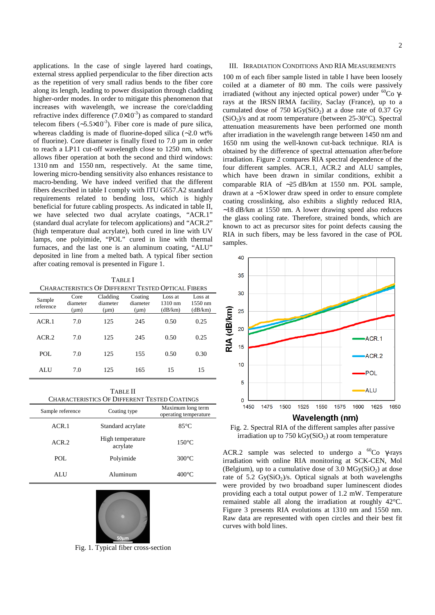applications. In the case of single layered hard coatings, external stress applied perpendicular to the fiber direction acts as the repetition of very small radius bends to the fiber core along its length, leading to power dissipation through cladding higher-order modes. In order to mitigate this phenomenon that increases with wavelength, we increase the core/cladding refractive index difference  $(7.0\times10^{-3})$  as compared to standard telecom fibers ( $~5.5 \times 10^{-3}$ ). Fiber core is made of pure silica, whereas cladding is made of fluorine-doped silica (∼2.0 wt% of fluorine). Core diameter is finally fixed to 7.0 µm in order to reach a LP11 cut-off wavelength close to 1250 nm, which allows fiber operation at both the second and third windows: 1310 nm and 1550 nm, respectively. At the same time, lowering micro-bending sensitivity also enhances resistance to macro-bending. We have indeed verified that the different fibers described in table I comply with ITU G657.A2 standard requirements related to bending loss, which is highly beneficial for future cabling prospects. As indicated in table II, we have selected two dual acrylate coatings, "ACR.1" (standard dual acrylate for telecom applications) and "ACR.2" (high temperature dual acrylate), both cured in line with UV lamps, one polyimide, "POL" cured in line with thermal furnaces, and the last one is an aluminum coating, "ALU" deposited in line from a melted bath. A typical fiber section after coating removal is presented in Figure 1.

TABLE I CHARACTERISTICS OF DIFFERENT TESTED OPTICAL FIBERS

| Sample<br>reference | Core<br>diameter<br>$(\mu m)$ | Cladding<br>diameter<br>$(\mu m)$ | Coating<br>diameter<br>$(\mu m)$ | Loss at<br>$1310 \text{ nm}$<br>(dB/km) | Loss at<br>1550 nm<br>(dB/km) |
|---------------------|-------------------------------|-----------------------------------|----------------------------------|-----------------------------------------|-------------------------------|
| ACR.1               | 7.0                           | 125                               | 245                              | 0.50                                    | 0.25                          |
| ACR.2               | 7.0                           | 125                               | 245                              | 0.50                                    | 0.25                          |
| POL.                | 7.0                           | 125                               | 155                              | 0.50                                    | 0.30                          |
| ALU                 | 7.0                           | 125                               | 165                              | 15                                      | 15                            |

| <b>TABLE II</b><br><b>CHARACTERISTICS OF DIFFERENT TESTED COATINGS</b> |                              |                 |  |  |
|------------------------------------------------------------------------|------------------------------|-----------------|--|--|
| Sample reference                                                       | Coating type                 |                 |  |  |
| ACR.1                                                                  | Standard acrylate            | $85^{\circ}$ C  |  |  |
| ACR.2                                                                  | High temperature<br>acrylate | $150^{\circ}$ C |  |  |
| POL                                                                    | Polyimide                    | $300^{\circ}$ C |  |  |
| <b>ALU</b>                                                             | Aluminum                     | $400^{\circ}$ C |  |  |



Fig. 1. Typical fiber cross-section

# III. IRRADIATION CONDITIONS AND RIA MEASUREMENTS

100 m of each fiber sample listed in table I have been loosely coiled at a diameter of 80 mm. The coils were passively irradiated (without any injected optical power) under <sup>60</sup>Co γrays at the IRSN IRMA facility, Saclay (France), up to a cumulated dose of 750 kGy( $SiO<sub>2</sub>$ ) at a dose rate of 0.37 Gy  $(SiO<sub>2</sub>)$ /s and at room temperature (between 25-30 $^{\circ}$ C). Spectral attenuation measurements have been performed one month after irradiation in the wavelength range between 1450 nm and 1650 nm using the well-known cut-back technique. RIA is obtained by the difference of spectral attenuation after/before irradiation. Figure 2 compares RIA spectral dependence of the four different samples. ACR.1, ACR.2 and ALU samples, which have been drawn in similar conditions, exhibit a comparable RIA of ∼25 dB/km at 1550 nm. POL sample, drawn at a ∼5× lower draw speed in order to ensure complete coating crosslinking, also exhibits a slightly reduced RIA, ∼18 dB/km at 1550 nm. A lower drawing speed also reduces the glass cooling rate. Therefore, strained bonds, which are known to act as precursor sites for point defects causing the RIA in such fibers, may be less favored in the case of POL samples.



Fig. 2. Spectral RIA of the different samples after passive irradiation up to 750 kGy( $SiO<sub>2</sub>$ ) at room temperature

ACR.2 sample was selected to undergo a <sup>60</sup>Co γ-rays irradiation with online RIA monitoring at SCK-CEN, Mol (Belgium), up to a cumulative dose of  $3.0 \text{ MGy(SiO<sub>2</sub>)}$  at dose rate of 5.2 Gy $(SiO<sub>2</sub>)$ /s. Optical signals at both wavelengths were provided by two broadband super luminescent diodes providing each a total output power of 1.2 mW. Temperature remained stable all along the irradiation at roughly 42°C. Figure 3 presents RIA evolutions at 1310 nm and 1550 nm. Raw data are represented with open circles and their best fit curves with bold lines.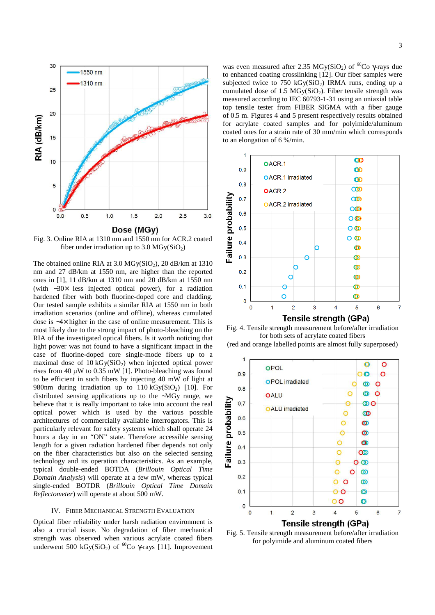

Fig. 3. Online RIA at 1310 nm and 1550 nm for ACR.2 coated fiber under irradiation up to  $3.0$  MGy(SiO<sub>2</sub>)

The obtained online RIA at 3.0 MGy(SiO<sub>2</sub>), 20 dB/km at 1310 nm and 27 dB/km at 1550 nm, are higher than the reported ones in [1], 11 dB/km at 1310 nm and 20 dB/km at 1550 nm (with ∼30× less injected optical power), for a radiation hardened fiber with both fluorine-doped core and cladding. Our tested sample exhibits a similar RIA at 1550 nm in both irradiation scenarios (online and offline), whereas cumulated dose is ∼4× higher in the case of online measurement. This is most likely due to the strong impact of photo-bleaching on the RIA of the investigated optical fibers. Is it worth noticing that light power was not found to have a significant impact in the case of fluorine-doped core single-mode fibers up to a maximal dose of  $10 \text{ kGy(SiO<sub>2</sub>)}$  when injected optical power rises from 40  $\mu$ W to 0.35 mW [1]. Photo-bleaching was found to be efficient in such fibers by injecting 40 mW of light at 980nm during irradiation up to  $110 \text{ kGy(SiO<sub>2</sub>)}$  [10]. For distributed sensing applications up to the ∼MGy range, we believe that it is really important to take into account the real optical power which is used by the various possible architectures of commercially available interrogators. This is particularly relevant for safety systems which shall operate 24 hours a day in an "ON" state. Therefore accessible sensing length for a given radiation hardened fiber depends not only on the fiber characteristics but also on the selected sensing technology and its operation characteristics. As an example, typical double-ended BOTDA (*Brillouin Optical Time Domain Analysis*) will operate at a few mW, whereas typical single-ended BOTDR (*Brillouin Optical Time Domain Reflectometer*) will operate at about 500 mW.

## IV. FIBER MECHANICAL STRENGTH EVALUATION

Optical fiber reliability under harsh radiation environment is also a crucial issue. No degradation of fiber mechanical strength was observed when various acrylate coated fibers underwent 500 kGy(SiO<sub>2</sub>) of <sup>60</sup>Co γ-rays [11]. Improvement

was even measured after 2.35 MGy(SiO<sub>2</sub>) of <sup>60</sup>Co  $\gamma$ -rays due to enhanced coating crosslinking [12]. Our fiber samples were subjected twice to 750  $kGy(SiO<sub>2</sub>)$  IRMA runs, ending up a cumulated dose of  $1.5 \text{ MGy(SiO}_2)$ . Fiber tensile strength was measured according to IEC 60793-1-31 using an uniaxial table top tensile tester from FIBER SIGMA with a fiber gauge of 0.5 m. Figures 4 and 5 present respectively results obtained for acrylate coated samples and for polyimide/aluminum coated ones for a strain rate of 30 mm/min which corresponds to an elongation of 6 %/min.



# **Tensile strength (GPa)**

Fig. 4. Tensile strength measurement before/after irradiation for both sets of acrylate coated fibers (red and orange labelled points are almost fully superposed)



Fig. 5. Tensile strength measurement before/after irradiation for polyimide and aluminum coated fibers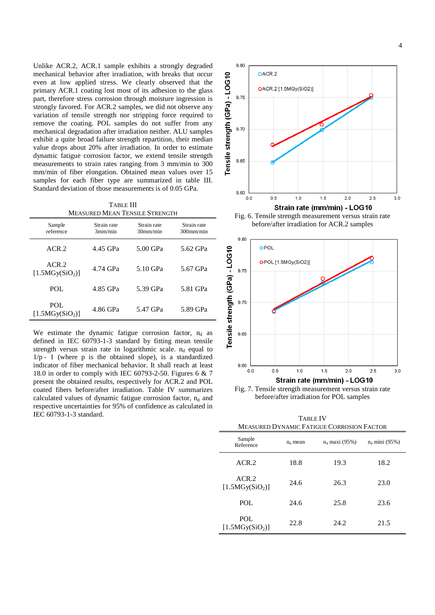Unlike ACR.2, ACR.1 sample exhibits a strongly degraded mechanical behavior after irradiation, with breaks that occur even at low applied stress. We clearly observed that the primary ACR.1 coating lost most of its adhesion to the glass part, therefore stress corrosion through moisture ingression is strongly favored. For ACR.2 samples, we did not observe any variation of tensile strength nor stripping force required to remove the coating. POL samples do not suffer from any mechanical degradation after irradiation neither. ALU samples exhibit a quite broad failure strength repartition, their median value drops about 20% after irradiation. In order to estimate dynamic fatigue corrosion factor, we extend tensile strength measurements to strain rates ranging from 3 mm/min to 300 mm/min of fiber elongation. Obtained mean values over 15 samples for each fiber type are summarized in table III. Standard deviation of those measurements is of 0.05 GPa.

TABLE III MEASURED MEAN TENSILE STRENGTH

| Sample<br>reference                  | Strain rate<br>3mm/min | Strain rate<br>30 <sub>mm/min</sub> | Strain rate<br>$300$ mm/min |  |
|--------------------------------------|------------------------|-------------------------------------|-----------------------------|--|
| ACR.2                                | 4.45 GPa               | 5.00 GPa                            | 5.62 GPa                    |  |
| ACR.2<br>[1.5MGy(SiO <sub>2</sub> )] | 4.74 GPa               | 5.10 GPa                            | 5.67 GPa                    |  |
| <b>POL</b>                           | 4.85 GPa               | 5.39 GPa                            | 5.81 GPa                    |  |
| POL<br>[1.5MGy(SiO <sub>2</sub> )]   | 4.86 GPa               | 5.47 GPa                            | 5.89 GPa                    |  |

We estimate the dynamic fatigue corrosion factor,  $n_d$  as defined in IEC 60793-1-3 standard by fitting mean tensile strength versus strain rate in logarithmic scale.  $n_d$  equal to  $1/p - 1$  (where p is the obtained slope), is a standardized indicator of fiber mechanical behavior. It shall reach at least 18.0 in order to comply with IEC 60793-2-50. Figures 6 & 7 present the obtained results, respectively for ACR.2 and POL coated fibers before/after irradiation. Table IV summarizes calculated values of dynamic fatigue corrosion factor,  $n_d$  and respective uncertainties for 95% of confidence as calculated in IEC 60793-1-3 standard.





before/after irradiation for POL samples

TABLE IV MEASURED DYNAMIC FATIGUE CORROSION FACTOR

| INIEASURED D'I NAMIU I ATIUUE CORROSION I AUTOR |            |                  |                  |
|-------------------------------------------------|------------|------------------|------------------|
| Sample<br>Reference                             | $n_d$ mean | $n_d$ maxi (95%) | $n_d$ mini (95%) |
| ACR.2                                           | 18.8       | 19.3             | 18.2             |
| ACR.2<br>[1.5MGy(SiO <sub>2</sub> )]            | 24.6       | 26.3             | 23.0             |
| <b>POL</b>                                      | 24.6       | 25.8             | 23.6             |
| POL<br>[1.5MGy(SiO <sub>2</sub> )]              | 22.8       | 24.2             | 21.5             |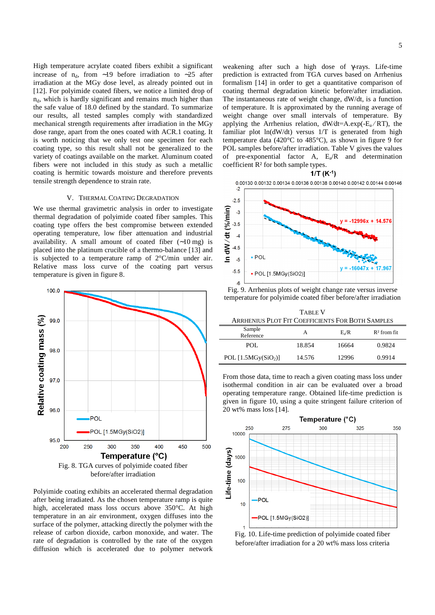High temperature acrylate coated fibers exhibit a significant increase of n<sub>d</sub>, from ∼19 before irradiation to ∼25 after irradiation at the MGy dose level, as already pointed out in [12]. For polyimide coated fibers, we notice a limited drop of  $n_d$ , which is hardly significant and remains much higher than the safe value of 18.0 defined by the standard. To summarize our results, all tested samples comply with standardized mechanical strength requirements after irradiation in the MGy dose range, apart from the ones coated with ACR.1 coating. It is worth noticing that we only test one specimen for each coating type, so this result shall not be generalized to the variety of coatings available on the market. Aluminum coated fibers were not included in this study as such a metallic coating is hermitic towards moisture and therefore prevents tensile strength dependence to strain rate.

### V. THERMAL COATING DEGRADATION

We use thermal gravimetric analysis in order to investigate thermal degradation of polyimide coated fiber samples. This coating type offers the best compromise between extended operating temperature, low fiber attenuation and industrial availability. A small amount of coated fiber (∼10 mg) is placed into the platinum crucible of a thermo-balance [13] and is subjected to a temperature ramp of 2°C/min under air. Relative mass loss curve of the coating part versus temperature is given in figure 8.



Polyimide coating exhibits an accelerated thermal degradation after being irradiated. As the chosen temperature ramp is quite high, accelerated mass loss occurs above 350°C. At high temperature in an air environment, oxygen diffuses into the surface of the polymer, attacking directly the polymer with the release of carbon dioxide, carbon monoxide, and water. The rate of degradation is controlled by the rate of the oxygen diffusion which is accelerated due to polymer network

weakening after such a high dose of γ-rays. Life-time prediction is extracted from TGA curves based on Arrhenius formalism [14] in order to get a quantitative comparison of coating thermal degradation kinetic before/after irradiation. The instantaneous rate of weight change, dW/dt, is a function of temperature. It is approximated by the running average of weight change over small intervals of temperature. By applying the Arrhenius relation, dW⁄dt=A.exp(-E<sup>a</sup> ⁄ RT), the familiar plot ln(dW/dt) versus 1/T is generated from high temperature data (420°C to 485°C), as shown in figure 9 for POL samples before/after irradiation. Table V gives the values of pre-exponential factor  $A$ ,  $E_a/R$  and determination coefficient R² for both sample types.





Fig. 9. Arrhenius plots of weight change rate versus inverse temperature for polyimide coated fiber before/after irradiation

| <b>TABLE V</b>                                   |  |         |               |
|--------------------------------------------------|--|---------|---------------|
| ARRHENIUS PLOT FIT COEFFICIENTS FOR BOTH SAMPLES |  |         |               |
| Sample<br>Reference                              |  | $E_a/R$ | $R2$ from fit |
|                                                  |  |         |               |

| POL                  | 18.854 | 16664 | 0.9824 |
|----------------------|--------|-------|--------|
| POL $[1.5MGy(SiO2)]$ | 14.576 | 12996 | 0.9914 |
|                      |        |       |        |

From those data, time to reach a given coating mass loss under isothermal condition in air can be evaluated over a broad operating temperature range. Obtained life-time prediction is given in figure 10, using a quite stringent failure criterion of 20 wt% mass loss [14].



Fig. 10. Life-time prediction of polyimide coated fiber before/after irradiation for a 20 wt% mass loss criteria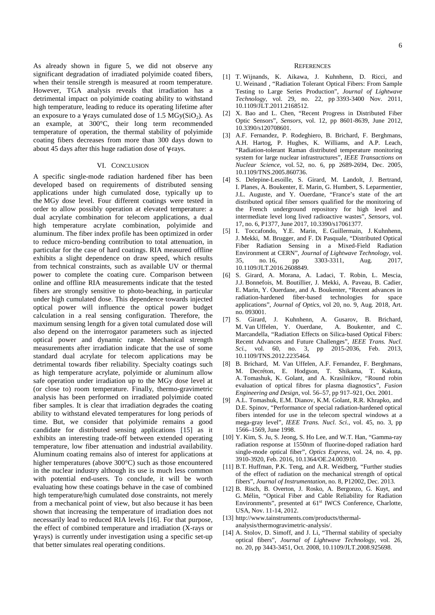As already shown in figure 5, we did not observe any significant degradation of irradiated polyimide coated fibers, when their tensile strength is measured at room temperature. However, TGA analysis reveals that irradiation has a detrimental impact on polyimide coating ability to withstand high temperature, leading to reduce its operating lifetime after an exposure to a γ-rays cumulated dose of 1.5 MGy( $SiO<sub>2</sub>$ ). As an example, at 300°C, their long term recommended temperature of operation, the thermal stability of polyimide coating fibers decreases from more than 300 days down to about 45 days after this huge radiation dose of γ-rays.

#### VI. CONCLUSION

A specific single-mode radiation hardened fiber has been developed based on requirements of distributed sensing applications under high cumulated dose, typically up to the MGy dose level. Four different coatings were tested in order to allow possibly operation at elevated temperature: a dual acrylate combination for telecom applications, a dual high temperature acrylate combination, polyimide and aluminum. The fiber index profile has been optimized in order to reduce micro-bending contribution to total attenuation, in particular for the case of hard coatings. RIA measured offline exhibits a slight dependence on draw speed, which results from technical constraints, such as available UV or thermal power to complete the coating cure. Comparison between online and offline RIA measurements indicate that the tested fibers are strongly sensitive to photo-beaching, in particular under high cumulated dose. This dependence towards injected optical power will influence the optical power budget calculation in a real sensing configuration. Therefore, the maximum sensing length for a given total cumulated dose will also depend on the interrogator parameters such as injected optical power and dynamic range. Mechanical strength measurements after irradiation indicate that the use of some standard dual acrylate for telecom applications may be detrimental towards fiber reliability. Specialty coatings such as high temperature acrylate, polyimide or aluminum allow safe operation under irradiation up to the MGy dose level at (or close to) room temperature. Finally, thermo-gravimetric analysis has been performed on irradiated polyimide coated fiber samples. It is clear that irradiation degrades the coating ability to withstand elevated temperatures for long periods of time. But, we consider that polyimide remains a good candidate for distributed sensing applications [15] as it exhibits an interesting trade-off between extended operating temperature, low fiber attenuation and industrial availability. Aluminum coating remains also of interest for applications at higher temperatures (above 300°C) such as those encountered in the nuclear industry although its use is much less common with potential end-users. To conclude, it will be worth evaluating how these coatings behave in the case of combined high temperature/high cumulated dose constraints, not merely from a mechanical point of view, but also because it has been shown that increasing the temperature of irradiation does not necessarily lead to reduced RIA levels [16]. For that purpose, the effect of combined temperature and irradiation (X-rays or γ-rays) is currently under investigation using a specific set-up that better simulates real operating conditions.

# 6

#### **REFERENCES**

- [1] T. Wijnands, K. Aikawa, J. Kuhnhenn, D. Ricci, and U. Weinand , "Radiation Tolerant Optical Fibers: From Sample Testing to Large Series Production", *Journal of Lightwave Technology*, vol. 29, no. 22, pp 3393-3400 Nov. 2011, 10.1109/JLT.2011.2168512.
- [2] X. Bao and L. Chen, "Recent Progress in Distributed Fiber Optic Sensors", *Sensors*, vol. 12, pp 8601-8639, June 2012, 10.3390/s120708601.
- [3] A.F. Fernandez, P. Rodeghiero, B. Brichard, F. Berghmans, A.H. Hartog, P. Hughes, K. Williams, and A.P. Leach, "Radiation-tolerant Raman distributed temperature monitoring system for large nuclear infrastructures", *IEEE Transactions on Nuclear Science*, vol. 52, no. 6, pp 2689-2694, Dec. 2005, 10.1109/TNS.2005.860736.
- [4] S. Delepine-Lesoille, S. Girard, M. Landolt, J. Bertrand, I. Planes, A. Boukenter, E. Marin, G. Humbert, S. Leparmentier, J.L. Auguste, and Y. Ouerdane, "France's state of the art distributed optical fiber sensors qualified for the monitoring of the French underground repository for high level and intermediate level long lived radioactive wastes", *Sensors*, vol. 17, no. 6, P1377, June 2017, 10.3390/s17061377.
- [5] I. Toccafondo, Y.E. Marin, E. Guillermain, J. Kuhnhenn, J. Mekki, M. Brugger, and F. Di Pasquale, "Distributed Optical Fiber Radiation Sensing in a Mixed-Field Radiation Environment at CERN", *Journal of Lightwave Technology*, vol. 35, no. 16, pp 3303-3311, Aug. 2017, 10.1109/JLT.2016.2608849.
- [6] S. Girard, A. Morana, A. Ladaci, T. Robin, L. Mescia, J.J. Bonnefois, M. Boutillier, J. Mekki, A. Paveau, B. Cadier, E. Marin, Y. Ouerdane, and A. Boukenter, "Recent advances in radiation-hardened fiber-based technologies for space applications", *Journal of Optics*, vol 20, no. 9, Aug. 2018, Art. no. 093001.
- [7] S. Girard, J. Kuhnhenn, A. Gusarov, B. Brichard, M. Van Uffelen, Y. Ouerdane, Marcandella, "Radiation Effects on Silica-based Optical Fibers: Recent Advances and Future Challenges", *IEEE Trans. Nucl. Sci.*, vol. 60, no. 3, pp 2015-2036, Feb. 2013, 10.1109/TNS.2012.2235464.
- [8] B. Brichard, M. Van Uffelen, A.F. Fernandez, F. Berghmans, M. Decréton, E. Hodgson, T. Shikama, T. Kakuta, A. Tomashuk, K. Golant, and A. Krasilnikov, "Round robin evaluation of optical fibres for plasma diagnostics", *Fusion Engineering and Design*, vol. 56–57, pp 917–921, Oct. 2001.
- [9] A.L. Tomashuk, E.M. Dianov, K.M. Golant, R.R. Khrapko, and D.E. Spinov, "Performance of special radiation-hardened optical fibers intended for use in the telecom spectral windows at a mega-gray level", *IEEE Trans. Nucl. Sci.*, vol. 45, no. 3, pp 1566–1569, June 1998.
- [10] Y. Kim, S. Ju, S. Jeong, S. Ho Lee, and W.T. Han, "Gamma-ray radiation response at 1550nm of fluorine-doped radiation hard single-mode optical fiber", *Optics Express*, vol. 24, no. 4, pp. 3910-3920, Feb. 2016, 10.1364/OE.24.003910.
- [11] B.T. Huffman, P.K. Teng, and A.R. Weidberg, "Further studies of the effect of radiation on the mechanical strength of optical fibers", *Journal of Instrumentation*, no. 8, P12002, Dec. 2013.
- [12] B. Risch, B. Overton, J. Rosko, A. Bergonzo, G. Kuyt, and G. Mélin, "Optical Fiber and Cable Reliability for Radiation Environments", presented at 61<sup>st</sup> IWCS Conference, Charlotte, USA, Nov. 11-14, 2012.
- [13] http://www.tainstruments.com/products/thermalanalysis/thermogravimetric-analysis/.
- [14] A. Stolov, D. Simoff, and J. Li, "Thermal stability of specialty optical fibers", *Journal of Lightwave Technology*, vol. 26, no. 20, pp 3443-3451, Oct. 2008, 10.1109/JLT.2008.925698.